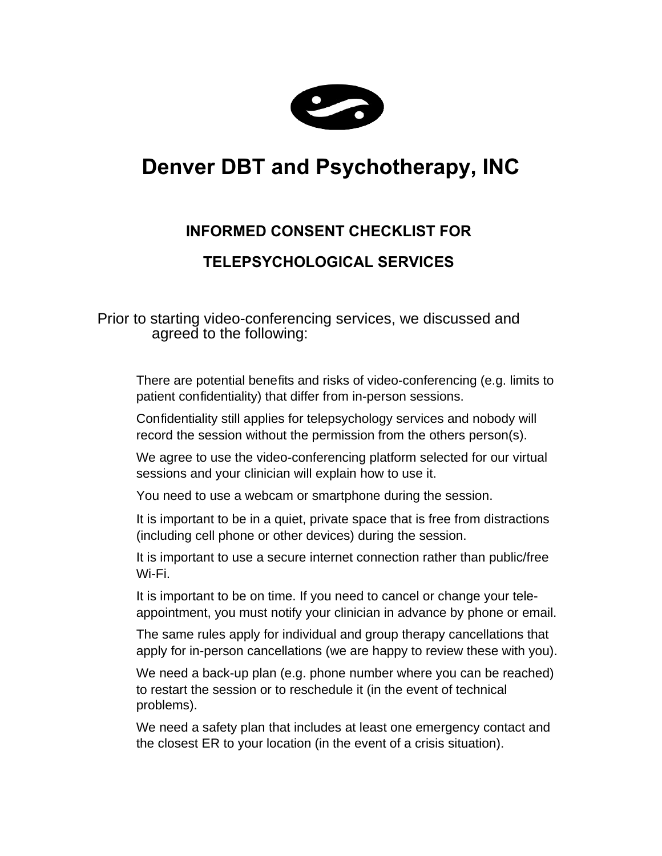

## **Denver DBT and Psychotherapy, INC**

## **INFORMED CONSENT CHECKLIST FOR**

## **TELEPSYCHOLOGICAL SERVICES**

Prior to starting video-conferencing services, we discussed and agreed to the following:

- $\Box$  There are potential benefits and risks of video-conferencing (e.g. limits to patient confidentiality) that differ from in-person sessions.
- $\Box$  Confidentiality still applies for telepsychology services and nobody will record the session without the permission from the others person(s).
- $\Box$  We agree to use the video-conferencing platform selected for our virtual sessions and your clinician will explain how to use it.
- $\Box$  You need to use a webcam or smartphone during the session.
- $\Box$  It is important to be in a quiet, private space that is free from distractions (including cell phone or other devices) during the session.
- $\Box$  It is important to use a secure internet connection rather than public/free Wi-Fi.
- $\Box$  It is important to be on time. If you need to cancel or change your teleappointment, you must notify your clinician in advance by phone or email.
- $\Box$  The same rules apply for individual and group therapy cancellations that apply for in-person cancellations (we are happy to review these with you).
- $\Box$  We need a back-up plan (e.g. phone number where you can be reached) to restart the session or to reschedule it (in the event of technical problems).
- $\Box$  We need a safety plan that includes at least one emergency contact and the closest ER to your location (in the event of a crisis situation).